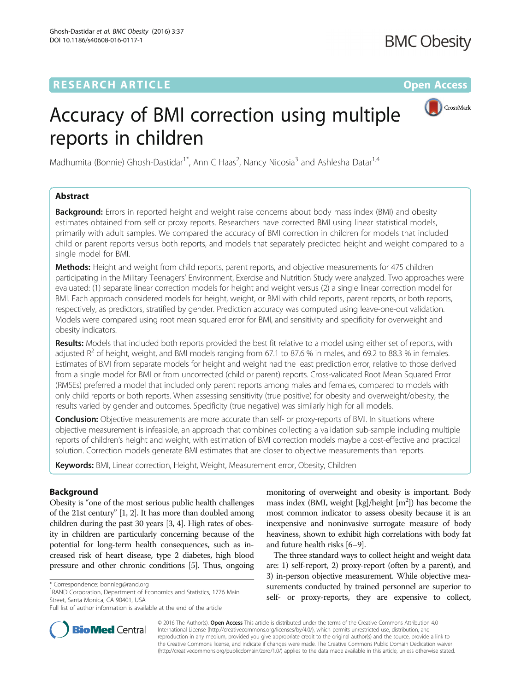

# Accuracy of BMI correction using multiple reports in children

Madhumita (Bonnie) Ghosh-Dastidar<sup>1\*</sup>, Ann C Haas<sup>2</sup>, Nancy Nicosia<sup>3</sup> and Ashlesha Datar<sup>1,4</sup>

# Abstract

**Background:** Errors in reported height and weight raise concerns about body mass index (BMI) and obesity estimates obtained from self or proxy reports. Researchers have corrected BMI using linear statistical models, primarily with adult samples. We compared the accuracy of BMI correction in children for models that included child or parent reports versus both reports, and models that separately predicted height and weight compared to a single model for BMI.

Methods: Height and weight from child reports, parent reports, and objective measurements for 475 children participating in the Military Teenagers' Environment, Exercise and Nutrition Study were analyzed. Two approaches were evaluated: (1) separate linear correction models for height and weight versus (2) a single linear correction model for BMI. Each approach considered models for height, weight, or BMI with child reports, parent reports, or both reports, respectively, as predictors, stratified by gender. Prediction accuracy was computed using leave-one-out validation. Models were compared using root mean squared error for BMI, and sensitivity and specificity for overweight and obesity indicators.

Results: Models that included both reports provided the best fit relative to a model using either set of reports, with adjusted  $R^2$  of height, weight, and BMI models ranging from 67.1 to 87.6 % in males, and 69.2 to 88.3 % in females. Estimates of BMI from separate models for height and weight had the least prediction error, relative to those derived from a single model for BMI or from uncorrected (child or parent) reports. Cross-validated Root Mean Squared Error (RMSEs) preferred a model that included only parent reports among males and females, compared to models with only child reports or both reports. When assessing sensitivity (true positive) for obesity and overweight/obesity, the results varied by gender and outcomes. Specificity (true negative) was similarly high for all models.

Conclusion: Objective measurements are more accurate than self- or proxy-reports of BMI. In situations where objective measurement is infeasible, an approach that combines collecting a validation sub-sample including multiple reports of children's height and weight, with estimation of BMI correction models maybe a cost-effective and practical solution. Correction models generate BMI estimates that are closer to objective measurements than reports.

Keywords: BMI, Linear correction, Height, Weight, Measurement error, Obesity, Children

# Background

Obesity is "one of the most serious public health challenges of the 21st century" [\[1](#page-8-0), [2](#page-8-0)]. It has more than doubled among children during the past 30 years [[3](#page-8-0), [4\]](#page-8-0). High rates of obesity in children are particularly concerning because of the potential for long-term health consequences, such as increased risk of heart disease, type 2 diabetes, high blood pressure and other chronic conditions [[5](#page-8-0)]. Thus, ongoing

<sup>1</sup>RAND Corporation, Department of Economics and Statistics, 1776 Main Street, Santa Monica, CA 90401, USA

monitoring of overweight and obesity is important. Body mass index (BMI, weight [kg]/height  $[m^2]$ ) has become the most common indicator to assess obesity because it is an inexpensive and noninvasive surrogate measure of body heaviness, shown to exhibit high correlations with body fat and future health risks [\[6](#page-8-0)–[9](#page-8-0)].

The three standard ways to collect height and weight data are: 1) self-report, 2) proxy-report (often by a parent), and 3) in-person objective measurement. While objective measurements conducted by trained personnel are superior to self- or proxy-reports, they are expensive to collect,



© 2016 The Author(s). Open Access This article is distributed under the terms of the Creative Commons Attribution 4.0 International License [\(http://creativecommons.org/licenses/by/4.0/](http://creativecommons.org/licenses/by/4.0/)), which permits unrestricted use, distribution, and reproduction in any medium, provided you give appropriate credit to the original author(s) and the source, provide a link to the Creative Commons license, and indicate if changes were made. The Creative Commons Public Domain Dedication waiver [\(http://creativecommons.org/publicdomain/zero/1.0/](http://creativecommons.org/publicdomain/zero/1.0/)) applies to the data made available in this article, unless otherwise stated.

<sup>\*</sup> Correspondence: [bonnieg@rand.org](mailto:bonnieg@rand.org) <sup>1</sup>

Full list of author information is available at the end of the article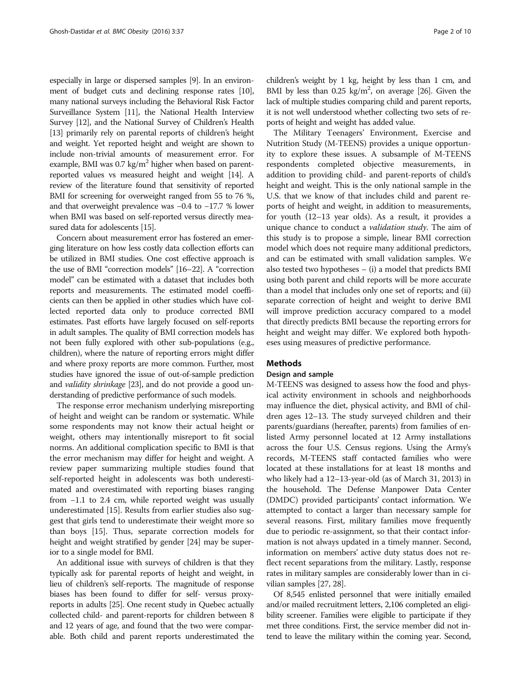especially in large or dispersed samples [\[9](#page-8-0)]. In an environment of budget cuts and declining response rates [\[10](#page-8-0)], many national surveys including the Behavioral Risk Factor Surveillance System [\[11\]](#page-8-0), the National Health Interview Survey [\[12](#page-8-0)], and the National Survey of Children's Health [[13](#page-8-0)] primarily rely on parental reports of children's height and weight. Yet reported height and weight are shown to include non-trivial amounts of measurement error. For example, BMI was  $0.7 \text{ kg/m}^2$  higher when based on parentreported values vs measured height and weight [\[14](#page-8-0)]. A review of the literature found that sensitivity of reported BMI for screening for overweight ranged from 55 to 76 %, and that overweight prevalence was −0.4 to −17.7 % lower when BMI was based on self-reported versus directly measured data for adolescents [\[15](#page-8-0)].

Concern about measurement error has fostered an emerging literature on how less costly data collection efforts can be utilized in BMI studies. One cost effective approach is the use of BMI "correction models" [\[16](#page-8-0)–[22\]](#page-8-0). A "correction model" can be estimated with a dataset that includes both reports and measurements. The estimated model coefficients can then be applied in other studies which have collected reported data only to produce corrected BMI estimates. Past efforts have largely focused on self-reports in adult samples. The quality of BMI correction models has not been fully explored with other sub-populations (e.g., children), where the nature of reporting errors might differ and where proxy reports are more common. Further, most studies have ignored the issue of out-of-sample prediction and validity shrinkage [\[23\]](#page-8-0), and do not provide a good understanding of predictive performance of such models.

The response error mechanism underlying misreporting of height and weight can be random or systematic. While some respondents may not know their actual height or weight, others may intentionally misreport to fit social norms. An additional complication specific to BMI is that the error mechanism may differ for height and weight. A review paper summarizing multiple studies found that self-reported height in adolescents was both underestimated and overestimated with reporting biases ranging from −1.1 to 2.4 cm, while reported weight was usually underestimated [[15](#page-8-0)]. Results from earlier studies also suggest that girls tend to underestimate their weight more so than boys [\[15\]](#page-8-0). Thus, separate correction models for height and weight stratified by gender [[24](#page-8-0)] may be superior to a single model for BMI.

An additional issue with surveys of children is that they typically ask for parental reports of height and weight, in lieu of children's self-reports. The magnitude of response biases has been found to differ for self- versus proxyreports in adults [[25](#page-8-0)]. One recent study in Quebec actually collected child- and parent-reports for children between 8 and 12 years of age, and found that the two were comparable. Both child and parent reports underestimated the

children's weight by 1 kg, height by less than 1 cm, and BMI by less than  $0.25 \text{ kg/m}^2$ , on average [\[26\]](#page-8-0). Given the lack of multiple studies comparing child and parent reports, it is not well understood whether collecting two sets of reports of height and weight has added value.

The Military Teenagers' Environment, Exercise and Nutrition Study (M-TEENS) provides a unique opportunity to explore these issues. A subsample of M-TEENS respondents completed objective measurements, in addition to providing child- and parent-reports of child's height and weight. This is the only national sample in the U.S. that we know of that includes child and parent reports of height and weight, in addition to measurements, for youth (12–13 year olds). As a result, it provides a unique chance to conduct a *validation study*. The aim of this study is to propose a simple, linear BMI correction model which does not require many additional predictors, and can be estimated with small validation samples. We also tested two hypotheses  $-$  (i) a model that predicts BMI using both parent and child reports will be more accurate than a model that includes only one set of reports; and (ii) separate correction of height and weight to derive BMI will improve prediction accuracy compared to a model that directly predicts BMI because the reporting errors for height and weight may differ. We explored both hypotheses using measures of predictive performance.

# Methods

# Design and sample

M-TEENS was designed to assess how the food and physical activity environment in schools and neighborhoods may influence the diet, physical activity, and BMI of children ages 12–13. The study surveyed children and their parents/guardians (hereafter, parents) from families of enlisted Army personnel located at 12 Army installations across the four U.S. Census regions. Using the Army's records, M-TEENS staff contacted families who were located at these installations for at least 18 months and who likely had a 12–13-year-old (as of March 31, 2013) in the household. The Defense Manpower Data Center (DMDC) provided participants' contact information. We attempted to contact a larger than necessary sample for several reasons. First, military families move frequently due to periodic re-assignment, so that their contact information is not always updated in a timely manner. Second, information on members' active duty status does not reflect recent separations from the military. Lastly, response rates in military samples are considerably lower than in civilian samples [\[27, 28](#page-8-0)].

Of 8,545 enlisted personnel that were initially emailed and/or mailed recruitment letters, 2,106 completed an eligibility screener. Families were eligible to participate if they met three conditions. First, the service member did not intend to leave the military within the coming year. Second,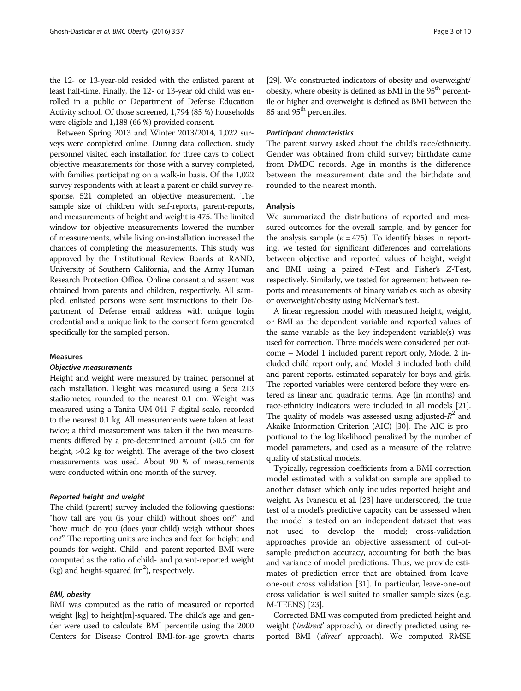the 12- or 13-year-old resided with the enlisted parent at least half-time. Finally, the 12- or 13-year old child was enrolled in a public or Department of Defense Education Activity school. Of those screened, 1,794 (85 %) households were eligible and 1,188 (66 %) provided consent.

Between Spring 2013 and Winter 2013/2014, 1,022 surveys were completed online. During data collection, study personnel visited each installation for three days to collect objective measurements for those with a survey completed, with families participating on a walk-in basis. Of the 1,022 survey respondents with at least a parent or child survey response, 521 completed an objective measurement. The sample size of children with self-reports, parent-reports, and measurements of height and weight is 475. The limited window for objective measurements lowered the number of measurements, while living on-installation increased the chances of completing the measurements. This study was approved by the Institutional Review Boards at RAND, University of Southern California, and the Army Human Research Protection Office. Online consent and assent was obtained from parents and children, respectively. All sampled, enlisted persons were sent instructions to their Department of Defense email address with unique login credential and a unique link to the consent form generated specifically for the sampled person.

# Measures

## Objective measurements

Height and weight were measured by trained personnel at each installation. Height was measured using a Seca 213 stadiometer, rounded to the nearest 0.1 cm. Weight was measured using a Tanita UM-041 F digital scale, recorded to the nearest 0.1 kg. All measurements were taken at least twice; a third measurement was taken if the two measurements differed by a pre-determined amount (>0.5 cm for height, >0.2 kg for weight). The average of the two closest measurements was used. About 90 % of measurements were conducted within one month of the survey.

## Reported height and weight

The child (parent) survey included the following questions: "how tall are you (is your child) without shoes on?" and "how much do you (does your child) weigh without shoes on?" The reporting units are inches and feet for height and pounds for weight. Child- and parent-reported BMI were computed as the ratio of child- and parent-reported weight (kg) and height-squared  $(m^2)$ , respectively.

# BMI, obesity

BMI was computed as the ratio of measured or reported weight [kg] to height[m]-squared. The child's age and gender were used to calculate BMI percentile using the 2000 Centers for Disease Control BMI-for-age growth charts

[[29](#page-9-0)]. We constructed indicators of obesity and overweight/ obesity, where obesity is defined as BMI in the 95<sup>th</sup> percentile or higher and overweight is defined as BMI between the 85 and 95<sup>th</sup> percentiles.

## Participant characteristics

The parent survey asked about the child's race/ethnicity. Gender was obtained from child survey; birthdate came from DMDC records. Age in months is the difference between the measurement date and the birthdate and rounded to the nearest month.

# Analysis

We summarized the distributions of reported and measured outcomes for the overall sample, and by gender for the analysis sample ( $n = 475$ ). To identify biases in reporting, we tested for significant differences and correlations between objective and reported values of height, weight and BMI using a paired t-Test and Fisher's Z-Test, respectively. Similarly, we tested for agreement between reports and measurements of binary variables such as obesity or overweight/obesity using McNemar's test.

A linear regression model with measured height, weight, or BMI as the dependent variable and reported values of the same variable as the key independent variable(s) was used for correction. Three models were considered per outcome – Model 1 included parent report only, Model 2 included child report only, and Model 3 included both child and parent reports, estimated separately for boys and girls. The reported variables were centered before they were entered as linear and quadratic terms. Age (in months) and race-ethnicity indicators were included in all models [\[21](#page-8-0)]. The quality of models was assessed using adjusted- $R^2$  and Akaike Information Criterion (AIC) [[30\]](#page-9-0). The AIC is proportional to the log likelihood penalized by the number of model parameters, and used as a measure of the relative quality of statistical models.

Typically, regression coefficients from a BMI correction model estimated with a validation sample are applied to another dataset which only includes reported height and weight. As Ivanescu et al. [\[23\]](#page-8-0) have underscored, the true test of a model's predictive capacity can be assessed when the model is tested on an independent dataset that was not used to develop the model; cross-validation approaches provide an objective assessment of out-ofsample prediction accuracy, accounting for both the bias and variance of model predictions. Thus, we provide estimates of prediction error that are obtained from leaveone-out cross validation [[31](#page-9-0)]. In particular, leave-one-out cross validation is well suited to smaller sample sizes (e.g. M-TEENS) [\[23\]](#page-8-0).

Corrected BMI was computed from predicted height and weight ('indirect' approach), or directly predicted using reported BMI ('direct' approach). We computed RMSE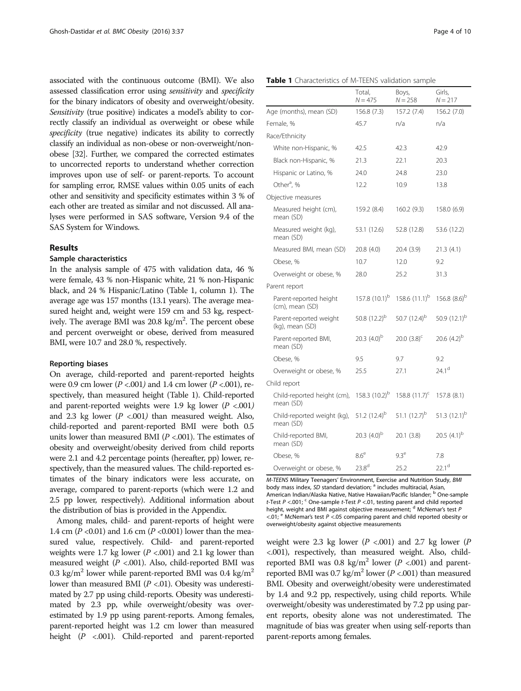<span id="page-3-0"></span>associated with the continuous outcome (BMI). We also assessed classification error using sensitivity and specificity for the binary indicators of obesity and overweight/obesity. Sensitivity (true positive) indicates a model's ability to correctly classify an individual as overweight or obese while specificity (true negative) indicates its ability to correctly classify an individual as non-obese or non-overweight/nonobese [[32](#page-9-0)]. Further, we compared the corrected estimates to uncorrected reports to understand whether correction improves upon use of self- or parent-reports. To account for sampling error, RMSE values within 0.05 units of each other and sensitivity and specificity estimates within 3 % of each other are treated as similar and not discussed. All analyses were performed in SAS software, Version 9.4 of the SAS System for Windows.

# Results

## Sample characteristics

In the analysis sample of 475 with validation data, 46 % were female, 43 % non-Hispanic white, 21 % non-Hispanic black, and 24 % Hispanic/Latino (Table 1, column 1). The average age was 157 months (13.1 years). The average measured height and, weight were 159 cm and 53 kg, respectively. The average BMI was 20.8 kg/m<sup>2</sup>. The percent obese and percent overweight or obese, derived from measured BMI, were 10.7 and 28.0 %, respectively.

## Reporting biases

On average, child-reported and parent-reported heights were 0.9 cm lower ( $P < .001$ ) and 1.4 cm lower ( $P < .001$ ), respectively, than measured height (Table 1). Child-reported and parent-reported weights were 1.9 kg lower ( $P < .001$ ) and 2.3 kg lower ( $P < .001$ ) than measured weight. Also, child-reported and parent-reported BMI were both 0.5 units lower than measured BMI ( $P < .001$ ). The estimates of obesity and overweight/obesity derived from child reports were 2.1 and 4.2 percentage points (hereafter, pp) lower, respectively, than the measured values. The child-reported estimates of the binary indicators were less accurate, on average, compared to parent-reports (which were 1.2 and 2.5 pp lower, respectively). Additional information about the distribution of bias is provided in the [Appendix](#page-7-0).

Among males, child- and parent-reports of height were 1.4 cm ( $P < 0.01$ ) and 1.6 cm ( $P < 0.001$ ) lower than the measured value, respectively. Child- and parent-reported weights were 1.7 kg lower ( $P < .001$ ) and 2.1 kg lower than measured weight ( $P < .001$ ). Also, child-reported BMI was 0.3 kg/m<sup>2</sup> lower while parent-reported BMI was 0.4 kg/m<sup>2</sup> lower than measured BMI  $(P < 0.01)$ . Obesity was underestimated by 2.7 pp using child-reports. Obesity was underestimated by 2.3 pp, while overweight/obesity was overestimated by 1.9 pp using parent-reports. Among females, parent-reported height was 1.2 cm lower than measured height  $(P \le 0.001)$ . Child-reported and parent-reported

|                                           | Total,<br>$N = 475$ | Boys,<br>$N = 258$ | Girls,<br>$N = 217$ |
|-------------------------------------------|---------------------|--------------------|---------------------|
| Age (months), mean (SD)                   | 156.8(7.3)          | 157.2(7.4)         | 156.2 (7.0)         |
| Female, %                                 | 45.7                | n/a                | n/a                 |
| Race/Ethnicity                            |                     |                    |                     |
| White non-Hispanic, %                     | 42.5                | 42.3               | 42.9                |
| Black non-Hispanic, %                     | 21.3                | 22.1               | 20.3                |
| Hispanic or Latino, %                     | 24.0                | 24.8               | 23.0                |
| Other <sup>a</sup> , %                    | 12.2                | 10.9               | 13.8                |
| Objective measures                        |                     |                    |                     |
| Measured height (cm),<br>mean (SD)        | 159.2 (8.4)         | 160.2(9.3)         | 158.0 (6.9)         |
| Measured weight (kg),<br>mean (SD)        | 53.1 (12.6)         | 52.8 (12.8)        | 53.6 (12.2)         |
| Measured BMI, mean (SD)                   | 20.8 (4.0)          | 20.4 (3.9)         | 21.3(4.1)           |
| Obese, %                                  | 10.7                | 12.0               | 9.2                 |
| Overweight or obese, %                    | 28.0                | 25.2               | 31.3                |
| Parent report                             |                     |                    |                     |
| Parent-reported height<br>(cm), mean (SD) | 157.8 $(10.1)^b$    | 158.6 $(11.1)^{b}$ | 156.8 $(8.6)^{t}$   |
| Parent-reported weight<br>(kg), mean (SD) | 50.8 $(12.2)^{b}$   | 50.7 $(12.4)^{b}$  | 50.9 $(12.1)^{b}$   |
| Parent-reported BMI,<br>mean (SD)         | 20.3 $(4.0)^b$      | $20.0~(3.8)^c$     | 20.6 $(4.2)^{b}$    |
| Obese, %                                  | 9.5                 | 9.7                | 9.2                 |
| Overweight or obese, %                    | 25.5                | 27.1               | $24.1^d$            |
| Child report                              |                     |                    |                     |
| Child-reported height (cm),               | 158.3 $(10.2)^{b}$  | $158.8(11.7)^{c}$  | 157.8(8.1)          |

M-TEENS Military Teenagers' Environment, Exercise and Nutrition Study, BMI body mass index, SD standard deviation; <sup>a</sup> includes multiracial, Asian, American Indian/Alaska Native, Native Hawaiian/Pacific Islander; <sup>b</sup> One-sample t-Test  $P < .001$ ; <sup>c</sup> One-sample t-Test  $P < .01$ , testing parent and child reported height, weight and BMI against objective measurement;  $d$  McNemar's test P <.01;  $e$  McNemar's test  $P$  <.05 comparing parent and child reported obesity or overweight/obesity against objective measurements

Obese, % 8.6<sup>e</sup> 9.3<sup>e</sup> 7.8 Overweight or obese,  $\%$  23.8<sup>d</sup> 25.2 22.1<sup>d</sup>

51.1  $(12.7)^b$  51.3  $(12.1)^b$ 

20.3  $(4.0)^b$  20.1  $(3.8)$  20.5  $(4.1)^b$ 

mean (SD)

mean (SD)

Child-reported BMI, mean (SD)

Child-reported weight (kg), 51.2 (12.4)<sup>b</sup>

weight were 2.3 kg lower ( $P < .001$ ) and 2.7 kg lower ( $P$ <.001), respectively, than measured weight. Also, childreported BMI was 0.8 kg/m<sup>2</sup> lower ( $P < .001$ ) and parentreported BMI was 0.7 kg/m<sup>2</sup> lower ( $P < .001$ ) than measured BMI. Obesity and overweight/obesity were underestimated by 1.4 and 9.2 pp, respectively, using child reports. While overweight/obesity was underestimated by 7.2 pp using parent reports, obesity alone was not underestimated. The magnitude of bias was greater when using self-reports than parent-reports among females.

## Table 1 Characteristics of M-TEENS validation sample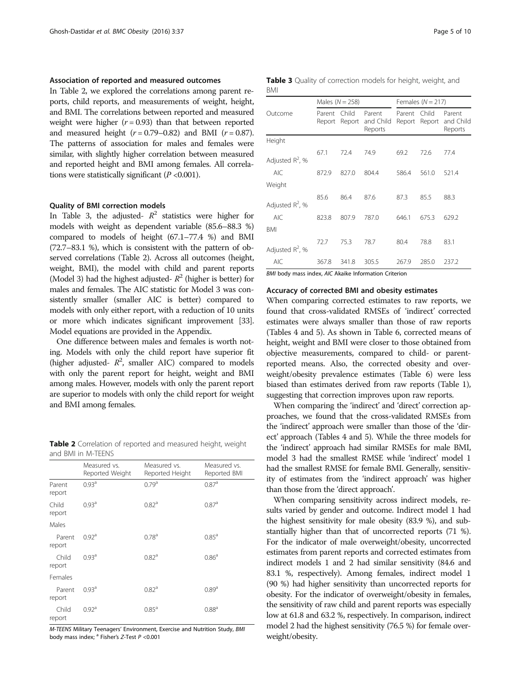# Association of reported and measured outcomes

In Table 2, we explored the correlations among parent reports, child reports, and measurements of weight, height, and BMI. The correlations between reported and measured weight were higher  $(r = 0.93)$  than that between reported and measured height  $(r = 0.79 - 0.82)$  and BMI  $(r = 0.87)$ . The patterns of association for males and females were similar, with slightly higher correlation between measured and reported height and BMI among females. All correlations were statistically significant  $(P < 0.001)$ .

# Quality of BMI correction models

In Table 3, the adjusted-  $R^2$  statistics were higher for models with weight as dependent variable (85.6–88.3 %) compared to models of height (67.1–77.4 %) and BMI (72.7–83.1 %), which is consistent with the pattern of observed correlations (Table 2). Across all outcomes (height, weight, BMI), the model with child and parent reports (Model 3) had the highest adjusted-  $R^2$  (higher is better) for males and females. The AIC statistic for Model 3 was consistently smaller (smaller AIC is better) compared to models with only either report, with a reduction of 10 units or more which indicates significant improvement [\[33](#page-9-0)]. Model equations are provided in the [Appendix](#page-7-0).

One difference between males and females is worth noting. Models with only the child report have superior fit (higher adjusted- $R^2$ , smaller AIC) compared to models with only the parent report for height, weight and BMI among males. However, models with only the parent report are superior to models with only the child report for weight and BMI among females.

Table 2 Correlation of reported and measured height, weight and BMI in M-TEENS

|                  | Measured vs.<br>Reported Weight | Measured vs.<br>Reported Height | Measured vs.<br>Reported BMI |
|------------------|---------------------------------|---------------------------------|------------------------------|
| Parent<br>report | 0.93 <sup>a</sup>               | 0.79 <sup>a</sup>               | $0.87$ <sup>a</sup>          |
| Child<br>report  | $0.93^{\rm a}$                  | 0.82 <sup>a</sup>               | $0.87$ <sup>a</sup>          |
| Males            |                                 |                                 |                              |
| Parent<br>report | 0.92 <sup>a</sup>               | 0.78 <sup>a</sup>               | $0.85^{\rm a}$               |
| Child<br>report  | 0.93 <sup>a</sup>               | 0.82 <sup>a</sup>               | 0.86 <sup>a</sup>            |
| Females          |                                 |                                 |                              |
| Parent<br>report | 0.93 <sup>a</sup>               | 0.82 <sup>a</sup>               | 0.89 <sup>a</sup>            |
| Child<br>report  | 0.92 <sup>a</sup>               | $0.85^{\rm a}$                  | 0.88 <sup>a</sup>            |

M-TEENS Military Teenagers' Environment, Exercise and Nutrition Study, BMI body mass index;  $^a$  Fisher's Z-Test P <0.001

Table 3 Quality of correction models for height, weight, and **RMI** 

|                             |                  | Males $(N = 258)$ |                                | Females $(N = 217)$ |                 |                                |
|-----------------------------|------------------|-------------------|--------------------------------|---------------------|-----------------|--------------------------------|
| Outcome                     | Parent<br>Report | Child<br>Report   | Parent<br>and Child<br>Reports | Parent<br>Report    | Child<br>Report | Parent<br>and Child<br>Reports |
| Height                      |                  |                   |                                |                     |                 |                                |
| Adjusted $R^2$ , %          | 67.1             | 72.4              | 74.9                           | 69.2                | 72.6            | 77.4                           |
| AIC                         | 872.9            | 827.0             | 804.4                          | 586.4               | 561.0           | 521.4                          |
| Weight                      |                  |                   |                                |                     |                 |                                |
| Adjusted R <sup>2</sup> , % | 85.6             | 86.4              | 87.6                           | 87.3                | 85.5            | 88.3                           |
| <b>AIC</b>                  | 823.8            | 807.9             | 787.0                          | 646.1               | 675.3           | 629.2                          |
| <b>BMI</b>                  |                  |                   |                                |                     |                 |                                |
| Adjusted $R^2$ , %          | 72.7             | 75.3              | 78.7                           | 80.4                | 78.8            | 83.1                           |
| <b>AIC</b>                  | 367.8            | 341.8             | 305.5                          | 267.9               | 285.0           | 237.2                          |

BMI body mass index, AIC Akaike Information Criterion

# Accuracy of corrected BMI and obesity estimates

When comparing corrected estimates to raw reports, we found that cross-validated RMSEs of 'indirect' corrected estimates were always smaller than those of raw reports (Tables [4](#page-5-0) and [5](#page-5-0)). As shown in Table [6,](#page-6-0) corrected means of height, weight and BMI were closer to those obtained from objective measurements, compared to child- or parentreported means. Also, the corrected obesity and overweight/obesity prevalence estimates (Table [6\)](#page-6-0) were less biased than estimates derived from raw reports (Table [1](#page-3-0)), suggesting that correction improves upon raw reports.

When comparing the 'indirect' and 'direct' correction approaches, we found that the cross-validated RMSEs from the 'indirect' approach were smaller than those of the 'direct' approach (Tables [4](#page-5-0) and [5\)](#page-5-0). While the three models for the 'indirect' approach had similar RMSEs for male BMI, model 3 had the smallest RMSE while 'indirect' model 1 had the smallest RMSE for female BMI. Generally, sensitivity of estimates from the 'indirect approach' was higher than those from the 'direct approach'.

When comparing sensitivity across indirect models, results varied by gender and outcome. Indirect model 1 had the highest sensitivity for male obesity (83.9 %), and substantially higher than that of uncorrected reports (71 %). For the indicator of male overweight/obesity, uncorrected estimates from parent reports and corrected estimates from indirect models 1 and 2 had similar sensitivity (84.6 and 83.1 %, respectively). Among females, indirect model 1 (90 %) had higher sensitivity than uncorrected reports for obesity. For the indicator of overweight/obesity in females, the sensitivity of raw child and parent reports was especially low at 61.8 and 63.2 %, respectively. In comparison, indirect model 2 had the highest sensitivity (76.5 %) for female overweight/obesity.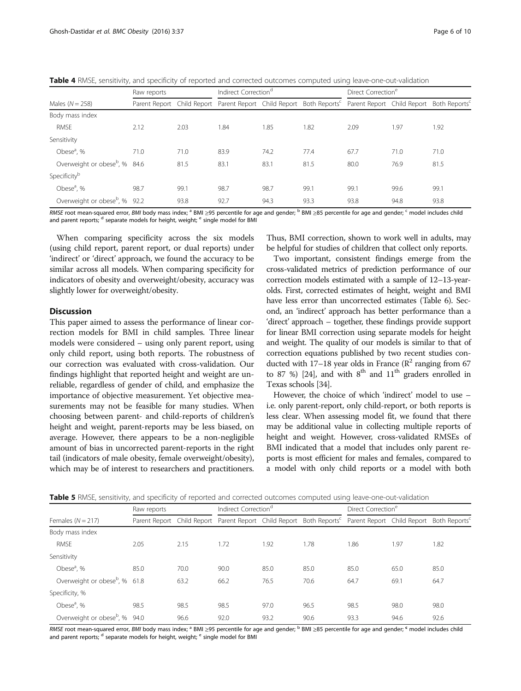<span id="page-5-0"></span>Table 4 RMSE, sensitivity, and specificity of reported and corrected outcomes computed using leave-one-out-validation

|                                           | Raw reports |      | Indirect Correction <sup>d</sup>                                                |      | Direct Correction <sup>e</sup> |                                                      |      |      |
|-------------------------------------------|-------------|------|---------------------------------------------------------------------------------|------|--------------------------------|------------------------------------------------------|------|------|
| Males $(N = 258)$                         |             |      | Parent Report Child Report Parent Report Child Report Both Reports <sup>c</sup> |      |                                | Parent Report Child Report Both Reports <sup>c</sup> |      |      |
| Body mass index                           |             |      |                                                                                 |      |                                |                                                      |      |      |
| <b>RMSE</b>                               | 2.12        | 2.03 | 1.84                                                                            | 1.85 | 1.82                           | 2.09                                                 | 1.97 | 1.92 |
| Sensitivity                               |             |      |                                                                                 |      |                                |                                                      |      |      |
| Obese <sup>a</sup> , %                    | 71.0        | 71.0 | 83.9                                                                            | 74.2 | 77.4                           | 67.7                                                 | 71.0 | 71.0 |
| Overweight or obese <sup>b</sup> , % 84.6 |             | 81.5 | 83.1                                                                            | 83.1 | 81.5                           | 80.0                                                 | 76.9 | 81.5 |
| Specificityb                              |             |      |                                                                                 |      |                                |                                                      |      |      |
| Obese <sup>a</sup> , %                    | 98.7        | 99.1 | 98.7                                                                            | 98.7 | 99.1                           | 99.1                                                 | 99.6 | 99.1 |
| Overweight or obese <sup>b</sup> , %      | 92.2        | 93.8 | 92.7                                                                            | 94.3 | 93.3                           | 93.8                                                 | 94.8 | 93.8 |

RMSE root mean-squared error, BMI body mass index; <sup>a</sup> BMI ≥95 percentile for age and gender; <sup>b</sup> BMI ≥85 percentile for age and gender; <sup>c</sup> model includes child and parent reports; <sup>d</sup> separate models for height, weight; <sup>e</sup> single model for BMI

When comparing specificity across the six models (using child report, parent report, or dual reports) under 'indirect' or 'direct' approach, we found the accuracy to be similar across all models. When comparing specificity for indicators of obesity and overweight/obesity, accuracy was slightly lower for overweight/obesity.

# **Discussion**

This paper aimed to assess the performance of linear correction models for BMI in child samples. Three linear models were considered – using only parent report, using only child report, using both reports. The robustness of our correction was evaluated with cross-validation. Our findings highlight that reported height and weight are unreliable, regardless of gender of child, and emphasize the importance of objective measurement. Yet objective measurements may not be feasible for many studies. When choosing between parent- and child-reports of children's height and weight, parent-reports may be less biased, on average. However, there appears to be a non-negligible amount of bias in uncorrected parent-reports in the right tail (indicators of male obesity, female overweight/obesity), which may be of interest to researchers and practitioners.

Thus, BMI correction, shown to work well in adults, may be helpful for studies of children that collect only reports.

Two important, consistent findings emerge from the cross-validated metrics of prediction performance of our correction models estimated with a sample of 12–13-yearolds. First, corrected estimates of height, weight and BMI have less error than uncorrected estimates (Table [6\)](#page-6-0). Second, an 'indirect' approach has better performance than a 'direct' approach – together, these findings provide support for linear BMI correction using separate models for height and weight. The quality of our models is similar to that of correction equations published by two recent studies conducted with 17–18 year olds in France ( $\mathbb{R}^2$  ranging from 67 to 87 %) [\[24\]](#page-8-0), and with  $8<sup>th</sup>$  and  $11<sup>th</sup>$  graders enrolled in Texas schools [[34](#page-9-0)].

However, the choice of which 'indirect' model to use – i.e. only parent-report, only child-report, or both reports is less clear. When assessing model fit, we found that there may be additional value in collecting multiple reports of height and weight. However, cross-validated RMSEs of BMI indicated that a model that includes only parent reports is most efficient for males and females, compared to a model with only child reports or a model with both

| Table 5 RMSE, sensitivity, and specificity of reported and corrected outcomes computed using leave-one-out-validation |                                  |                                |
|-----------------------------------------------------------------------------------------------------------------------|----------------------------------|--------------------------------|
| Raw reports                                                                                                           | Indirect Correction <sup>d</sup> | Direct Correction <sup>e</sup> |

|                                           | Raw reports<br>indirect Correction" |      | Direct Correction"                                                                                                                   |      |      |      |      |      |
|-------------------------------------------|-------------------------------------|------|--------------------------------------------------------------------------------------------------------------------------------------|------|------|------|------|------|
| Females $(N = 217)$                       |                                     |      | Parent Report Child Report Parent Report Child Report Both Reports <sup>c</sup> Parent Report Child Report Both Reports <sup>c</sup> |      |      |      |      |      |
| Body mass index                           |                                     |      |                                                                                                                                      |      |      |      |      |      |
| <b>RMSE</b>                               | 2.05                                | 2.15 | 1.72                                                                                                                                 | 1.92 | 1.78 | 1.86 | 1.97 | 1.82 |
| Sensitivity                               |                                     |      |                                                                                                                                      |      |      |      |      |      |
| Obese <sup>a</sup> , %                    | 85.0                                | 70.0 | 90.0                                                                                                                                 | 85.0 | 85.0 | 85.0 | 65.0 | 85.0 |
| Overweight or obese <sup>b</sup> , % 61.8 |                                     | 63.2 | 66.2                                                                                                                                 | 76.5 | 70.6 | 64.7 | 69.1 | 64.7 |
| Specificity, %                            |                                     |      |                                                                                                                                      |      |      |      |      |      |
| Obese <sup>a</sup> , %                    | 98.5                                | 98.5 | 98.5                                                                                                                                 | 97.0 | 96.5 | 98.5 | 98.0 | 98.0 |
| Overweight or obese <sup>b</sup> , %      | 94.0                                | 96.6 | 92.0                                                                                                                                 | 93.2 | 90.6 | 93.3 | 94.6 | 92.6 |

RMSE root mean-squared error, BMI body mass index; <sup>a</sup> BMI ≥95 percentile for age and gender; b BMI ≥85 percentile for age and gender; c model includes child and parent reports;  $d$  separate models for height, weight;  $e$  single model for BMI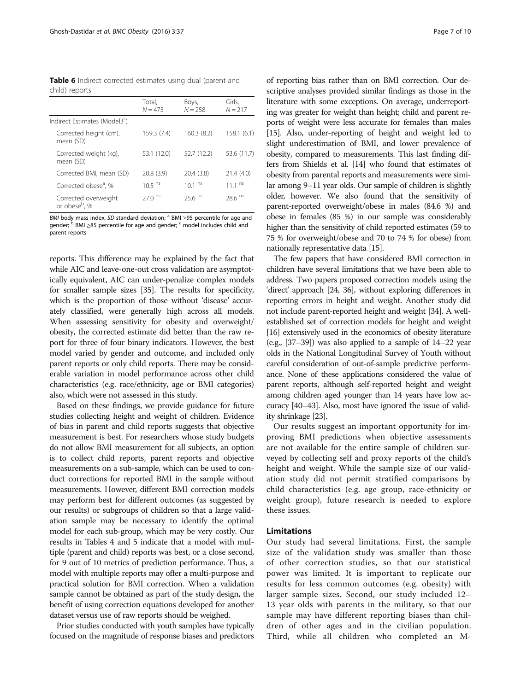<span id="page-6-0"></span>Table 6 Indirect corrected estimates using dual (parent and child) reports

|                                                   | Total.<br>$N = 475$ | Boys,<br>$N = 258$   | Girls.<br>$N = 217$ |
|---------------------------------------------------|---------------------|----------------------|---------------------|
| Indirect Estimates (Model3 <sup>c</sup> )         |                     |                      |                     |
| Corrected height (cm),<br>mean (SD)               | 159.3 (7.4)         | 160.3(8.2)           | 158.1(6.1)          |
| Corrected weight (kg),<br>mean (SD)               | 53.1 (12.0)         | 52.7 (12.2)          | 53.6 (11.7)         |
| Corrected BMI, mean (SD)                          | 20.8(3.9)           | 20.4(3.8)            | 21.4 (4.0)          |
| Corrected obese <sup>a</sup> , %                  | 10.5 <sup>ns</sup>  | 10.1 <sup>ns</sup>   | ns<br>11.1          |
| Corrected overweight<br>or obese <sup>b</sup> , % | ns<br>27.0          | $25.6$ <sup>ns</sup> | 28.6 <sup>ns</sup>  |

BMI body mass index, SD standard deviation;  $^{\text{a}}$  BMI  $\geq$ 95 percentile for age and gender; <sup>b</sup> BMI ≥85 percentile for age and gender; <sup>c</sup> model includes child and parent reports

reports. This difference may be explained by the fact that while AIC and leave-one-out cross validation are asymptotically equivalent, AIC can under-penalize complex models for smaller sample sizes [[35](#page-9-0)]. The results for specificity, which is the proportion of those without 'disease' accurately classified, were generally high across all models. When assessing sensitivity for obesity and overweight/ obesity, the corrected estimate did better than the raw report for three of four binary indicators. However, the best model varied by gender and outcome, and included only parent reports or only child reports. There may be considerable variation in model performance across other child characteristics (e.g. race/ethnicity, age or BMI categories) also, which were not assessed in this study.

Based on these findings, we provide guidance for future studies collecting height and weight of children. Evidence of bias in parent and child reports suggests that objective measurement is best. For researchers whose study budgets do not allow BMI measurement for all subjects, an option is to collect child reports, parent reports and objective measurements on a sub-sample, which can be used to conduct corrections for reported BMI in the sample without measurements. However, different BMI correction models may perform best for different outcomes (as suggested by our results) or subgroups of children so that a large validation sample may be necessary to identify the optimal model for each sub-group, which may be very costly. Our results in Tables [4](#page-5-0) and [5](#page-5-0) indicate that a model with multiple (parent and child) reports was best, or a close second, for 9 out of 10 metrics of prediction performance. Thus, a model with multiple reports may offer a multi-purpose and practical solution for BMI correction. When a validation sample cannot be obtained as part of the study design, the benefit of using correction equations developed for another dataset versus use of raw reports should be weighed.

Prior studies conducted with youth samples have typically focused on the magnitude of response biases and predictors

of reporting bias rather than on BMI correction. Our descriptive analyses provided similar findings as those in the literature with some exceptions. On average, underreporting was greater for weight than height; child and parent reports of weight were less accurate for females than males [[15](#page-8-0)]. Also, under-reporting of height and weight led to slight underestimation of BMI, and lower prevalence of obesity, compared to measurements. This last finding differs from Shields et al. [[14](#page-8-0)] who found that estimates of obesity from parental reports and measurements were similar among 9–11 year olds. Our sample of children is slightly older, however. We also found that the sensitivity of parent-reported overweight/obese in males (84.6 %) and obese in females (85 %) in our sample was considerably higher than the sensitivity of child reported estimates (59 to 75 % for overweight/obese and 70 to 74 % for obese) from nationally representative data [[15](#page-8-0)].

The few papers that have considered BMI correction in children have several limitations that we have been able to address. Two papers proposed correction models using the 'direct' approach [\[24](#page-8-0), [36\]](#page-9-0), without exploring differences in reporting errors in height and weight. Another study did not include parent-reported height and weight [[34](#page-9-0)]. A wellestablished set of correction models for height and weight [[16](#page-8-0)] extensively used in the economics of obesity literature (e.g., [\[37](#page-9-0)–[39\]](#page-9-0)) was also applied to a sample of 14–22 year olds in the National Longitudinal Survey of Youth without careful consideration of out-of-sample predictive performance. None of these applications considered the value of parent reports, although self-reported height and weight among children aged younger than 14 years have low accuracy [\[40](#page-9-0)–[43\]](#page-9-0). Also, most have ignored the issue of validity shrinkage [\[23](#page-8-0)].

Our results suggest an important opportunity for improving BMI predictions when objective assessments are not available for the entire sample of children surveyed by collecting self and proxy reports of the child's height and weight. While the sample size of our validation study did not permit stratified comparisons by child characteristics (e.g. age group, race-ethnicity or weight group), future research is needed to explore these issues.

## Limitations

Our study had several limitations. First, the sample size of the validation study was smaller than those of other correction studies, so that our statistical power was limited. It is important to replicate our results for less common outcomes (e.g. obesity) with larger sample sizes. Second, our study included 12– 13 year olds with parents in the military, so that our sample may have different reporting biases than children of other ages and in the civilian population. Third, while all children who completed an M-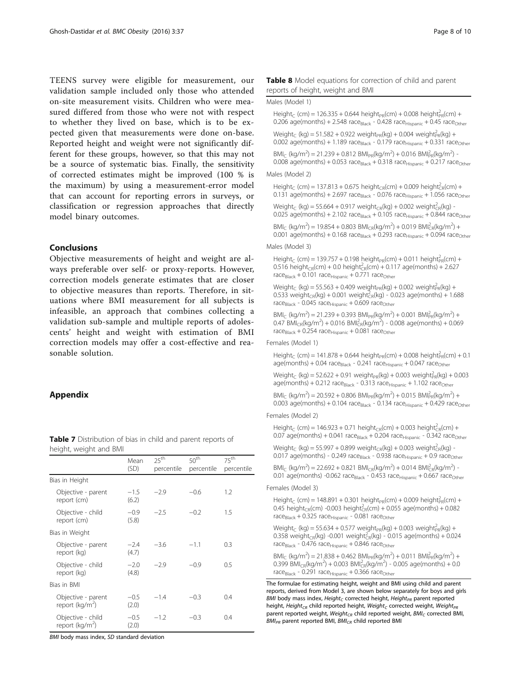<span id="page-7-0"></span>TEENS survey were eligible for measurement, our validation sample included only those who attended on-site measurement visits. Children who were measured differed from those who were not with respect to whether they lived on base, which is to be expected given that measurements were done on-base. Reported height and weight were not significantly different for these groups, however, so that this may not be a source of systematic bias. Finally, the sensitivity of corrected estimates might be improved (100 % is the maximum) by using a measurement-error model that can account for reporting errors in surveys, or classification or regression approaches that directly model binary outcomes.

# Conclusions

Objective measurements of height and weight are always preferable over self- or proxy-reports. However, correction models generate estimates that are closer to objective measures than reports. Therefore, in situations where BMI measurement for all subjects is infeasible, an approach that combines collecting a validation sub-sample and multiple reports of adolescents' height and weight with estimation of BMI correction models may offer a cost-effective and reasonable solution.

# Appendix

Table 7 Distribution of bias in child and parent reports of height, weight and BMI

|                                                   | Mean            | 25 <sup>th</sup> | 50 <sup>th</sup> | 75 <sup>th</sup> |
|---------------------------------------------------|-----------------|------------------|------------------|------------------|
|                                                   | (SD)            | percentile       | percentile       | percentile       |
| Bias in Height                                    |                 |                  |                  |                  |
| Objective - parent<br>report (cm)                 | $-1.5$<br>(6.2) | $-2.9$           | $-0.6$           | 1.2              |
| Objective - child<br>report (cm)                  | $-0.9$<br>(5.8) | $-2.5$           | $-0.2$           | 1.5              |
| Bias in Weight                                    |                 |                  |                  |                  |
| Objective - parent<br>report (kg)                 | $-2.4$<br>(4.7) | $-3.6$           | $-1.1$           | 0.3              |
| Objective - child<br>report (kg)                  | $-2.0$<br>(4.8) | $-2.9$           | $-0.9$           | 0.5              |
| Bias in BMI                                       |                 |                  |                  |                  |
| Objective - parent<br>report (kg/m <sup>2</sup> ) | $-0.5$<br>(2.0) | $-1.4$           | $-0.3$           | 0.4              |
| Objective - child<br>report (kg/m <sup>2</sup> )  | $-0.5$<br>(2.0) | $-1.2$           | $-0.3$           | 0.4              |

BMI body mass index, SD standard deviation

# Males (Model 1)

Height<sub>c</sub> (cm) = 126.335 + 0.644 height<sub>PR</sub>(cm) + 0.008 height $_{PR}^2$ (cm) + 0.206 age(months) + 2.548 race $_{Black}$  - 0.428 race $_{Hisenanic}$  + 0.45 race $_{Other}$ 

 $Weight_C (kg) = 51.582 + 0.922 weight_{PR}(kg) + 0.004 weight_{PR}^2(kg) +$ 0.002 age(months) + 1.189 race $_{Black}$  - 0.179 race $_{Hispanic}$  + 0.331 race $_{Other}$ 

 $BMl_C$  (kg/m<sup>2</sup>) = 21.239 + 0.812  $BMl_{PR}$ (kg/m<sup>2</sup>) + 0.016  $BMl_{PR}^2$ (kg/m<sup>2</sup>) -0.008 age(months) + 0.053 race $_{Black}$  + 0.318 race $_{Hispanic}$  + 0.217 race<sub>Other</sub>

# Males (Model 2)

Height<sub>C</sub> (cm) = 137.813 + 0.675 height<sub>CR</sub>(cm) + 0.009 height $\frac{2}{CR}$ (cm) + 0.131 age(months) + 2.697 race $_{Black}$  - 0.076 race $_{Hispanic}$  + 1.056 race<sub>Other</sub>

 $Weight_C$  (kg) = 55.664 + 0.917 weight<sub>CR</sub>(kg) + 0.002 weight $_{CR}^2$ (kg) - $0.025$  age(months) + 2.102 race $_{Black}$  + 0.105 race $_{Hispanic}$  + 0.844 race<sub>Other</sub>

 $BMl_C$  (kg/m<sup>2</sup>) = 19.854 + 0.803  $BMl_{CR}$ (kg/m<sup>2</sup>) + 0.019  $BMl_{CR}^2$ (kg/m<sup>2</sup>) + 0.001 age(months) + 0.168 race $_{Black}$  + 0.293 race $_{Hispanic}$  + 0.094 race $_{Other}$ 

## Males (Model 3)

Height<sub>c</sub> (cm) = 139.757 + 0.198 height<sub>PR</sub>(cm) + 0.011 height $_{PR}^2$ (cm) +  $0.516$  height<sub>CR</sub>(cm) + 0.0 height $\frac{2}{CR}$ (cm) + 0.117 age(months) + 2.627  $r$ ace $_{Black} + 0.101$  race $_{History} + 0.771$  race $_{Other}$ 

 $Weight_C$  (kg) = 55.563 + 0.409 weight<sub>PR</sub>(kg) + 0.002 weight $_{PR}^2$ (kg) +  $0.533$  weight<sub>CR</sub>(kg) + 0.001 weight<sub>CR</sub>(kg) - 0.023 age(months) + 1.688 race $_{Black}$  - 0.045 race $_{Hispanic}$  + 0.609 race $_{Other}$ 

 $BMI_C$  (kg/m<sup>2</sup>) = 21.239 + 0.393  $BMI_{PR}$ (kg/m<sup>2</sup>) + 0.001  $BMI_{PR}^2$ (kg/m<sup>2</sup>) +  $0.47 \overline{BMl}_{CR}$ (kg/m<sup>2</sup>) + 0.016  $BMl_{CR}^2$ (kg/m<sup>2</sup>) - 0.008 age(months) + 0.069  $r$ ace $B$ lack + 0.254 race $H$ ispanic + 0.081 race $O$ ther

## Females (Model 1)

 $Height_C$  (cm) = 141.878 + 0.644 height<sub>PR</sub>(cm) + 0.008 height $P_R$ (cm) + 0.1 age(months) + 0.04 race $_{Black}$  - 0.241 race $_{H is panic}$  + 0.047 race $_{Other}$ 

 $Weight_C (kg) = 52.622 + 0.91$  weight<sub>PR</sub>(kg) + 0.003 weight $_{PR}^2$ (kg) + 0.003 age(months) + 0.212 race $_{Black}$  - 0.313 race $_{Hispanic}$  + 1.102 race $_{Other}$ 

 $BMI_C$  (kg/m<sup>2</sup>) = 20.592 + 0.806  $BMI_{PR}$ (kg/m<sup>2</sup>) + 0.015  $BMI_{PR}^2$ (kg/m<sup>2</sup>) + 0.003 age(months) + 0.104 race $_{Black}$  - 0.134 race $_{Hisonic}$  + 0.429 race $_{Other}$ 

#### Females (Model 2)

 $Height_C$  (cm) = 146.923 + 0.71 height<sub>CR</sub>(cm) + 0.003 height $\frac{2}{CR}$ (cm) + 0.07 age(months) + 0.041 race $_{Black}$  + 0.204 race $_{Hispanic}$  - 0.342 race $_{Other}$ 

Weight<sub>C</sub> (kg) = 55.997 + 0.899 weight<sub>CR</sub>(kg) + 0.003 weight $_{CR}^2$ (kg) -0.017 age(months) - 0.249 race $_{Black}$  - 0.938 race $_{H ispanic}$  + 0.9 race<sub>Other</sub>

 $BMl_C$  (kg/m<sup>2</sup>) = 22.692 + 0.821  $BMl_{CR}$ (kg/m<sup>2</sup>) + 0.014  $BMl_{CR}^2$ (kg/m<sup>2</sup>) -0.01 age(months) -0.062 race $_{Black}$  - 0.453 race $_{Hispanic}$  + 0.667 race $_{Other}$ 

#### Females (Model 3)

Height<sub>c</sub> (cm) = 148.891 + 0.301 height<sub>PR</sub>(cm) + 0.009 height $_{PR}^2$ (cm) +  $0.45$  height<sub>CR</sub>(cm) -0.003 height $\frac{2}{CR}$ (cm) + 0.055 age(months) + 0.082  $r$ ace $B$ lack + 0.325 race $H$ ispanic - 0.081 race $O$ ther

Weight<sub>C</sub> (kg) = 55.634 + 0.577 weight<sub>PR</sub>(kg) + 0.003 weight $_{PR}^2$ (kg) +  $0.358$  weight<sub>CR</sub>(kg) -0.001 weight $\frac{2}{3}$ (kg) - 0.015 age(months) + 0.024 race $_{Black}$  - 0.476 race $_{Hispanic}$  + 0.846 race $_{Other}$ 

 $BMI_C$  (kg/m<sup>2</sup>) = 21.838 + 0.462  $BMI_{PR}$ (kg/m<sup>2</sup>) + 0.011  $BMI_{PR}^2$ (kg/m<sup>2</sup>) +  $0.399$  BMI<sub>CR</sub>(kg/m<sup>2</sup>) + 0.003 BMI<sup>2</sup><sub>CR</sub>(kg/m<sup>2</sup>) - 0.005 age(months) + 0.0 race $_{Black}$  - 0.291 race $_{Hispanic}$  + 0.366 race $_{Other}$ 

The formulae for estimating height, weight and BMI using child and parent reports, derived from Model 3, are shown below separately for boys and girls BMI body mass index, Height<sub>c</sub> corrected height, Height<sub>PR</sub> parent reported height, Height<sub>CR</sub> child reported height, Weight<sub>C</sub> corrected weight, Weight<sub>PR</sub> parent reported weight, Weight<sub>CR</sub> child reported weight,  $BML<sub>C</sub>$  corrected BMI,  $BMl_{PR}$  parent reported BMI,  $BMl_{CR}$  child reported BMI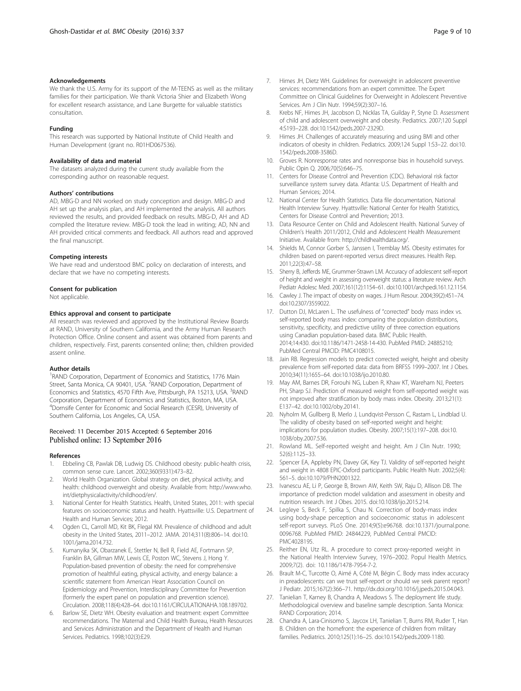## <span id="page-8-0"></span>Acknowledgements

We thank the U.S. Army for its support of the M-TEENS as well as the military families for their participation. We thank Victoria Shier and Elizabeth Wong for excellent research assistance, and Lane Burgette for valuable statistics consultation.

## Funding

This research was supported by National Institute of Child Health and Human Development (grant no. R01HD067536).

## Availability of data and material

The datasets analyzed during the current study available from the corresponding author on reasonable request.

#### Authors' contributions

AD, MBG-D and NN worked on study conception and design. MBG-D and AH set up the analysis plan, and AH implemented the analysis. All authors reviewed the results, and provided feedback on results. MBG-D, AH and AD compiled the literature review. MBG-D took the lead in writing; AD, NN and AH provided critical comments and feedback. All authors read and approved the final manuscript.

#### Competing interests

We have read and understood BMC policy on declaration of interests, and declare that we have no competing interests.

#### Consent for publication

Not applicable.

## Ethics approval and consent to participate

All research was reviewed and approved by the Institutional Review Boards at RAND, University of Southern California, and the Army Human Research Protection Office. Online consent and assent was obtained from parents and children, respectively. First, parents consented online; then, children provided assent online.

#### Author details

<sup>1</sup>RAND Corporation, Department of Economics and Statistics, 1776 Main Street, Santa Monica, CA 90401, USA. <sup>2</sup>RAND Corporation, Department of Economics and Statistics, 4570 Fifth Ave, Pittsburgh, PA 15213, USA. <sup>3</sup>RAND Corporation, Department of Economics and Statistics, Boston, MA, USA. 4 Dornsife Center for Economic and Social Research (CESR), University of Southern California, Los Angeles, CA, USA.

# Received: 11 December 2015 Accepted: 6 September 2016 Published online: 13 September 2016

#### References

- 1. Ebbeling CB, Pawlak DB, Ludwig DS. Childhood obesity: public-health crisis, common sense cure. Lancet. 2002;360(9331):473–82.
- 2. World Health Organization. Global strategy on diet, physical activity, and health: childhood overweight and obesity. Available from: [http://www.who.](http://www.who.int/dietphysicalactivity/childhood/en/) [int/dietphysicalactivity/childhood/en/](http://www.who.int/dietphysicalactivity/childhood/en/).
- 3. National Center for Health Statistics. Health, United States, 2011: with special features on socioeconomic status and health. Hyattsville: U.S. Department of Health and Human Services; 2012.
- 4. Ogden CL, Carroll MD, Kit BK, Flegal KM. Prevalence of childhood and adult obesity in the United States, 2011–2012. JAMA. 2014;311(8):806–14. doi:[10.](http://dx.doi.org/10.1001/jama.2014.732) [1001/jama.2014.732.](http://dx.doi.org/10.1001/jama.2014.732)
- 5. Kumanyika SK, Obarzanek E, Stettler N, Bell R, Field AE, Fortmann SP, Franklin BA, Gillman MW, Lewis CE, Poston WC, Stevens J, Hong Y. Population-based prevention of obesity: the need for comprehensive promotion of healthful eating, physical activity, and energy balance: a scientific statement from American Heart Association Council on Epidemiology and Prevention, Interdisciplinary Committee for Prevention (formerly the expert panel on population and prevention science). Circulation. 2008;118(4):428–64. doi:[10.1161/CIRCULATIONAHA.108.189702.](http://dx.doi.org/10.1161/CIRCULATIONAHA.108.189702)
- 6. Barlow SE, Dietz WH. Obesity evaluation and treatment: expert Committee recommendations. The Maternal and Child Health Bureau, Health Resources and Services Administration and the Department of Health and Human Services. Pediatrics. 1998;102(3):E29.
- 7. Himes JH, Dietz WH. Guidelines for overweight in adolescent preventive services: recommendations from an expert committee. The Expert Committee on Clinical Guidelines for Overweight in Adolescent Preventive Services. Am J Clin Nutr. 1994;59(2):307–16.
- 8. Krebs NF, Himes JH, Jacobson D, Nicklas TA, Guilday P, Styne D. Assessment of child and adolescent overweight and obesity. Pediatrics. 2007;120 Suppl 4:S193–228. doi[:10.1542/peds.2007-2329D](http://dx.doi.org/10.1542/peds.2007-2329D).
- 9. Himes JH. Challenges of accurately measuring and using BMI and other indicators of obesity in children. Pediatrics. 2009;124 Suppl 1:S3–22. doi:[10.](http://dx.doi.org/10.1542/peds.2008-3586D) [1542/peds.2008-3586D.](http://dx.doi.org/10.1542/peds.2008-3586D)
- 10. Groves R. Nonresponse rates and nonresponse bias in household surveys. Public Opin Q. 2006;70(5):646–75.
- 11. Centers for Disease Control and Prevention (CDC). Behavioral risk factor surveillance system survey data. Atlanta: U.S. Department of Health and Human Services; 2014.
- 12. National Center for Health Statistics. Data file documentation, National Health Interview Survey. Hyattsville: National Center for Health Statistics, Centers for Disease Control and Prevention; 2013.
- 13. Data Resource Center on Child and Adolescent Health. National Survey of Children's Health 2011/2012, Child and Adolescent Health Measurement Initiative. Available from: [http://childhealthdata.org/.](http://childhealthdata.org/)
- 14. Shields M, Connor Gorber S, Janssen I, Tremblay MS. Obesity estimates for children based on parent-reported versus direct measures. Health Rep. 2011;22(3):47–58.
- 15. Sherry B, Jefferds ME, Grummer-Strawn LM. Accuracy of adolescent self-report of height and weight in assessing overweight status: a literature review. Arch Pediatr Adolesc Med. 2007;161(12):1154–61. doi[:10.1001/archpedi.161.12.1154.](http://dx.doi.org/10.1001/archpedi.161.12.1154)
- 16. Cawley J. The impact of obesity on wages. J Hum Resour. 2004;39(2):451–74. doi:[10.2307/3559022](http://dx.doi.org/10.2307/3559022).
- 17. Dutton DJ, McLaren L. The usefulness of "corrected" body mass index vs. self-reported body mass index: comparing the population distributions, sensitivity, specificity, and predictive utility of three correction equations using Canadian population-based data. BMC Public Health. 2014;14:430. doi[:10.1186/1471-2458-14-430](http://dx.doi.org/10.1186/1471-2458-14-430). PubMed PMID: 24885210; PubMed Central PMCID: PMC4108015.
- 18. Jain RB. Regression models to predict corrected weight, height and obesity prevalence from self-reported data: data from BRFSS 1999–2007. Int J Obes. 2010;34(11):1655–64. doi:[10.1038/ijo.2010.80](http://dx.doi.org/10.1038/ijo.2010.80).
- 19. May AM, Barnes DR, Forouhi NG, Luben R, Khaw KT, Wareham NJ, Peeters PH, Sharp SJ. Prediction of measured weight from self-reported weight was not improved after stratification by body mass index. Obesity. 2013;21(1): E137–42. doi[:10.1002/oby.20141](http://dx.doi.org/10.1002/oby.20141).
- 20. Nyholm M, Gullberg B, Merlo J, Lundqvist-Persson C, Rastam L, Lindblad U. The validity of obesity based on self-reported weight and height: implications for population studies. Obesity. 2007;15(1):197–208. doi:[10.](http://dx.doi.org/10.1038/oby.2007.536) [1038/oby.2007.536.](http://dx.doi.org/10.1038/oby.2007.536)
- 21. Rowland ML. Self-reported weight and height. Am J Clin Nutr. 1990; 52(6):1125–33.
- 22. Spencer EA, Appleby PN, Davey GK, Key TJ. Validity of self-reported height and weight in 4808 EPIC-Oxford participants. Public Health Nutr. 2002;5(4): 561–5. doi:[10.1079/PHN2001322](http://dx.doi.org/10.1079/PHN2001322).
- 23. Ivanescu AE, Li P, George B, Brown AW, Keith SW, Raju D, Allison DB. The importance of prediction model validation and assessment in obesity and nutrition research. Int J Obes. 2015. doi:[10.1038/ijo.2015.214.](http://dx.doi.org/10.1038/ijo.2015.214)
- 24. Legleye S, Beck F, Spilka S, Chau N. Correction of body-mass index using body-shape perception and socioeconomic status in adolescent self-report surveys. PLoS One. 2014;9(5):e96768. doi[:10.1371/journal.pone.](http://dx.doi.org/10.1371/journal.pone.0096768) [0096768](http://dx.doi.org/10.1371/journal.pone.0096768). PubMed PMID: 24844229, PubMed Central PMCID: PMC4028195.
- 25. Reither EN, Utz RL. A procedure to correct proxy-reported weight in the National Health Interview Survey, 1976–2002. Popul Health Metrics. 2009;7(2). doi: [10.1186/1478-7954-7-2.](http://dx.doi.org/10.1186/1478-7954-7-2)
- 26. Brault M-C, Turcotte O, Aimé A, Côté M, Bégin C. Body mass index accuracy in preadolescents: can we trust self-report or should we seek parent report? J Pediatr. 2015;167(2):366–71. [http://dx.doi.org/10.1016/j.jpeds.2015.04.043.](http://dx.doi.org/10.1016/j.jpeds.2015.04.043)
- 27. Tanielian T, Karney B, Chandra A, Meadows S. The deployment life study. Methodological overview and baseline sample description. Santa Monica: RAND Corporation; 2014.
- 28. Chandra A, Lara-Cinisomo S, Jaycox LH, Tanielian T, Burns RM, Ruder T, Han B. Children on the homefront: the experience of children from military families. Pediatrics. 2010;125(1):16–25. doi:[10.1542/peds.2009-1180](http://dx.doi.org/10.1542/peds.2009-1180).